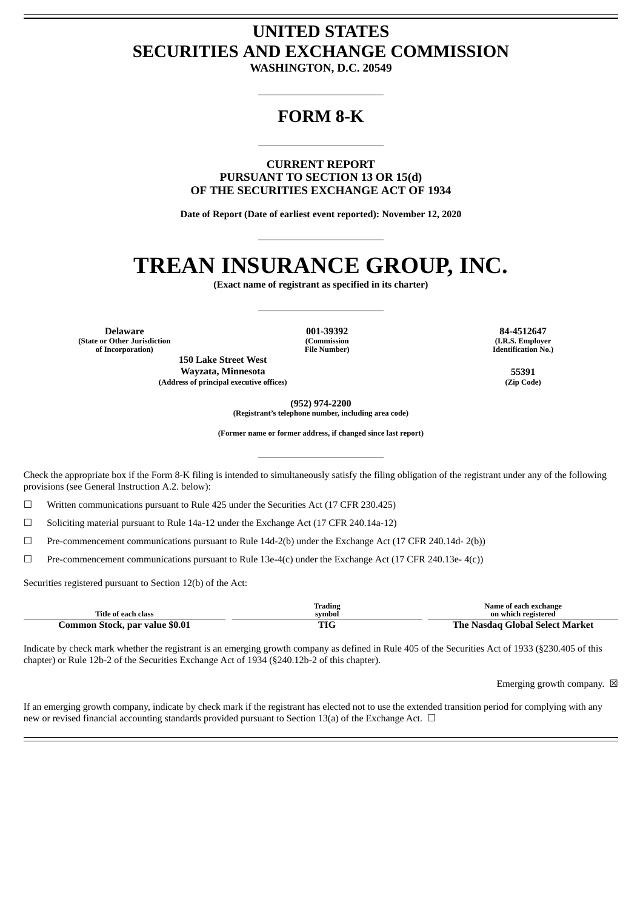# **UNITED STATES SECURITIES AND EXCHANGE COMMISSION**

**WASHINGTON, D.C. 20549**

# **FORM 8-K**

**CURRENT REPORT PURSUANT TO SECTION 13 OR 15(d) OF THE SECURITIES EXCHANGE ACT OF 1934**

**Date of Report (Date of earliest event reported): November 12, 2020**

# **TREAN INSURANCE GROUP, INC.**

**(Exact name of registrant as specified in its charter)**

**(State or Other Jurisdiction of Incorporation)**

**(Commission File Number)**

**Delaware 001-39392 84-4512647 (I.R.S. Employer Identification No.)**

**Wayzata, Minnesota 55391**

**(952) 974-2200 (Registrant's telephone number, including area code)**

**(Former name or former address, if changed since last report)**

Check the appropriate box if the Form 8-K filing is intended to simultaneously satisfy the filing obligation of the registrant under any of the following provisions (see General Instruction A.2. below):

☐ Written communications pursuant to Rule 425 under the Securities Act (17 CFR 230.425)

**150 Lake Street West**

**(Address of principal executive offices) (Zip Code)**

 $\Box$  Soliciting material pursuant to Rule 14a-12 under the Exchange Act (17 CFR 240.14a-12)

☐ Pre-commencement communications pursuant to Rule 14d-2(b) under the Exchange Act (17 CFR 240.14d- 2(b))

☐ Pre-commencement communications pursuant to Rule 13e-4(c) under the Exchange Act (17 CFR 240.13e- 4(c))

Securities registered pursuant to Section 12(b) of the Act:

|                                | <b>Trading</b> | Name of each exchange           |
|--------------------------------|----------------|---------------------------------|
| Title of each class            | svmbol         | on which registered             |
| Common Stock, par value \$0.01 | TIG            | The Nasdag Global Select Market |

Indicate by check mark whether the registrant is an emerging growth company as defined in Rule 405 of the Securities Act of 1933 (§230.405 of this chapter) or Rule 12b-2 of the Securities Exchange Act of 1934 (§240.12b-2 of this chapter).

Emerging growth company.  $\boxtimes$ 

If an emerging growth company, indicate by check mark if the registrant has elected not to use the extended transition period for complying with any new or revised financial accounting standards provided pursuant to Section 13(a) of the Exchange Act.  $\Box$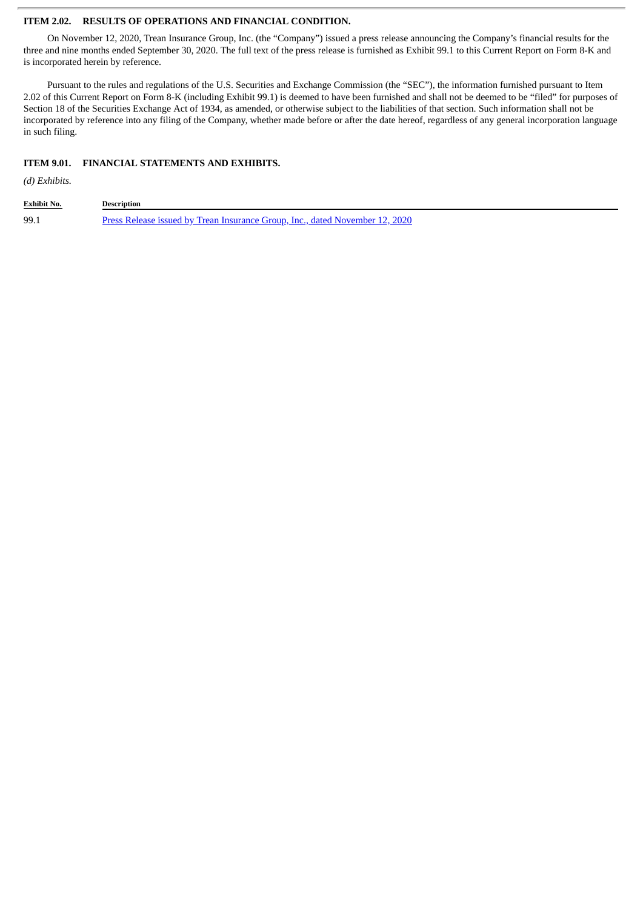#### **ITEM 2.02. RESULTS OF OPERATIONS AND FINANCIAL CONDITION.**

On November 12, 2020, Trean Insurance Group, Inc. (the "Company") issued a press release announcing the Company's financial results for the three and nine months ended September 30, 2020. The full text of the press release is furnished as Exhibit 99.1 to this Current Report on Form 8-K and is incorporated herein by reference.

Pursuant to the rules and regulations of the U.S. Securities and Exchange Commission (the "SEC"), the information furnished pursuant to Item 2.02 of this Current Report on Form 8-K (including Exhibit 99.1) is deemed to have been furnished and shall not be deemed to be "filed" for purposes of Section 18 of the Securities Exchange Act of 1934, as amended, or otherwise subject to the liabilities of that section. Such information shall not be incorporated by reference into any filing of the Company, whether made before or after the date hereof, regardless of any general incorporation language in such filing.

#### **ITEM 9.01. FINANCIAL STATEMENTS AND EXHIBITS.**

*(d) Exhibits.*

| <b>Exhibit No.</b> | Description                                                                         |
|--------------------|-------------------------------------------------------------------------------------|
| 99.1               | <u>Press Release issued by Trean Insurance Group, Inc., dated November 12, 2020</u> |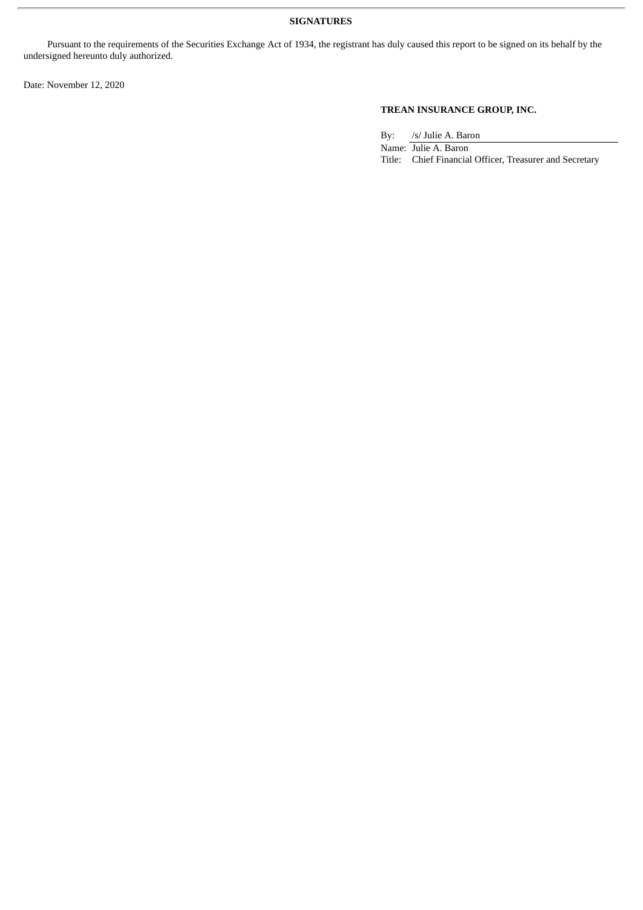# **SIGNATURES**

Pursuant to the requirements of the Securities Exchange Act of 1934, the registrant has duly caused this report to be signed on its behalf by the undersigned hereunto duly authorized.

Date: November 12, 2020

# **TREAN INSURANCE GROUP, INC.**

By: /s/ Julie A. Baron

Name: Julie A. Baron Title: Chief Financial Officer, Treasurer and Secretary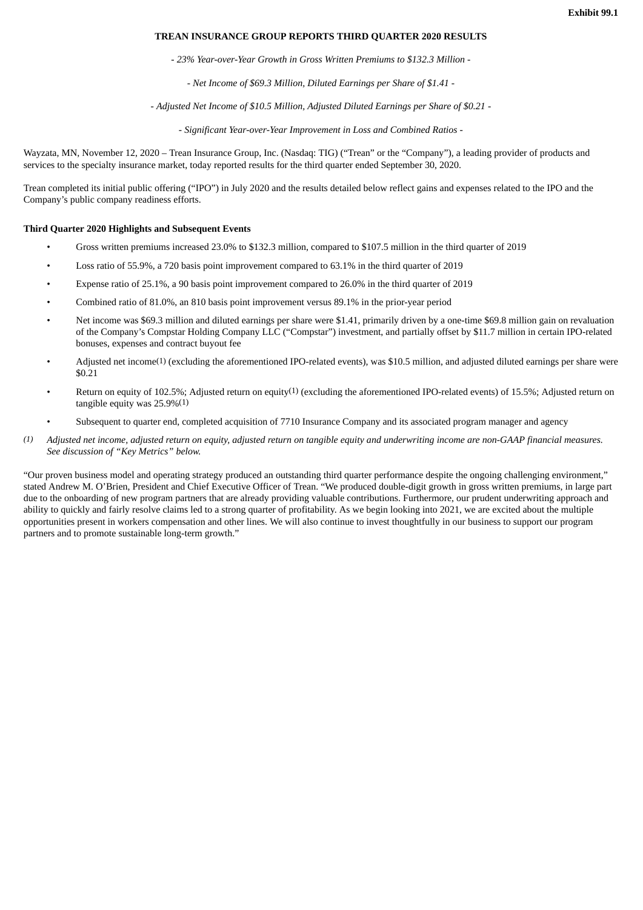#### <span id="page-3-0"></span>**TREAN INSURANCE GROUP REPORTS THIRD QUARTER 2020 RESULTS**

- *23% Year-over-Year Growth in Gross Written Premiums to \$132.3 Million -*

- *Net Income of \$69.3 Million, Diluted Earnings per Share of \$1.41 -*

- *Adjusted Net Income of \$10.5 Million, Adjusted Diluted Earnings per Share of \$0.21 -*

- *Significant Year-over-Year Improvement in Loss and Combined Ratios -*

Wayzata, MN, November 12, 2020 – Trean Insurance Group, Inc. (Nasdaq: TIG) ("Trean" or the "Company"), a leading provider of products and services to the specialty insurance market, today reported results for the third quarter ended September 30, 2020.

Trean completed its initial public offering ("IPO") in July 2020 and the results detailed below reflect gains and expenses related to the IPO and the Company's public company readiness efforts.

#### **Third Quarter 2020 Highlights and Subsequent Events**

- Gross written premiums increased 23.0% to \$132.3 million, compared to \$107.5 million in the third quarter of 2019
- Loss ratio of 55.9%, a 720 basis point improvement compared to 63.1% in the third quarter of 2019
- Expense ratio of 25.1%, a 90 basis point improvement compared to 26.0% in the third quarter of 2019
- Combined ratio of 81.0%, an 810 basis point improvement versus 89.1% in the prior-year period
- Net income was \$69.3 million and diluted earnings per share were \$1.41, primarily driven by a one-time \$69.8 million gain on revaluation of the Company's Compstar Holding Company LLC ("Compstar") investment, and partially offset by \$11.7 million in certain IPO-related bonuses, expenses and contract buyout fee
- Adjusted net income(1) (excluding the aforementioned IPO-related events), was \$10.5 million, and adjusted diluted earnings per share were \$0.21
- Return on equity of 102.5%; Adjusted return on equity(1) (excluding the aforementioned IPO-related events) of 15.5%; Adjusted return on tangible equity was 25.9%(1)
- Subsequent to quarter end, completed acquisition of 7710 Insurance Company and its associated program manager and agency
- (1) Adjusted net income, adjusted return on equity, adjusted return on tangible equity and underwriting income are non-GAAP financial measures. *See discussion of "Key Metrics" below.*

"Our proven business model and operating strategy produced an outstanding third quarter performance despite the ongoing challenging environment," stated Andrew M. O'Brien, President and Chief Executive Officer of Trean. "We produced double-digit growth in gross written premiums, in large part due to the onboarding of new program partners that are already providing valuable contributions. Furthermore, our prudent underwriting approach and ability to quickly and fairly resolve claims led to a strong quarter of profitability. As we begin looking into 2021, we are excited about the multiple opportunities present in workers compensation and other lines. We will also continue to invest thoughtfully in our business to support our program partners and to promote sustainable long-term growth."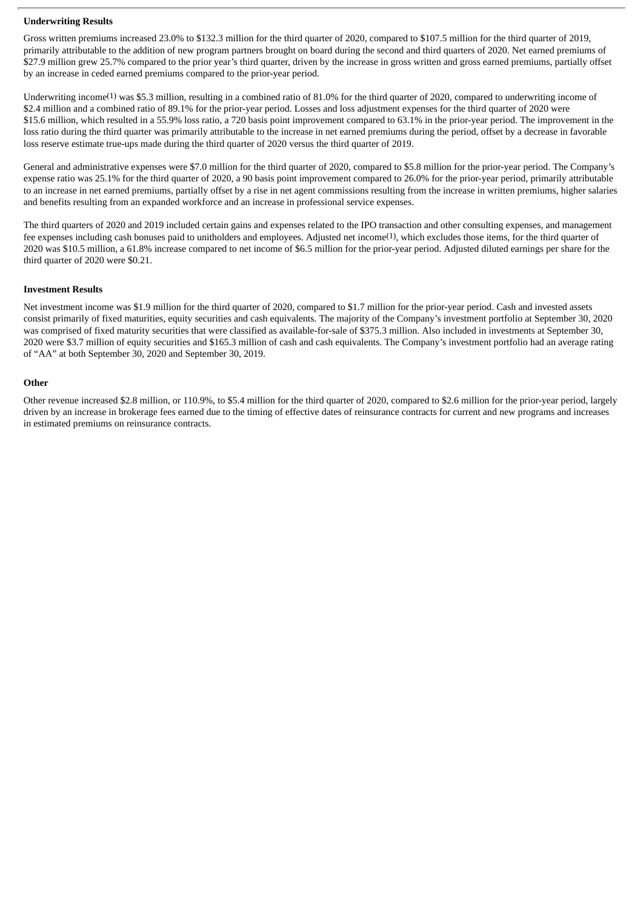#### **Underwriting Results**

Gross written premiums increased 23.0% to \$132.3 million for the third quarter of 2020, compared to \$107.5 million for the third quarter of 2019, primarily attributable to the addition of new program partners brought on board during the second and third quarters of 2020. Net earned premiums of \$27.9 million grew 25.7% compared to the prior year's third quarter, driven by the increase in gross written and gross earned premiums, partially offset by an increase in ceded earned premiums compared to the prior-year period.

Underwriting income(1) was \$5.3 million, resulting in a combined ratio of 81.0% for the third quarter of 2020, compared to underwriting income of \$2.4 million and a combined ratio of 89.1% for the prior-year period. Losses and loss adjustment expenses for the third quarter of 2020 were \$15.6 million, which resulted in a 55.9% loss ratio, a 720 basis point improvement compared to 63.1% in the prior-year period. The improvement in the loss ratio during the third quarter was primarily attributable to the increase in net earned premiums during the period, offset by a decrease in favorable loss reserve estimate true-ups made during the third quarter of 2020 versus the third quarter of 2019.

General and administrative expenses were \$7.0 million for the third quarter of 2020, compared to \$5.8 million for the prior-year period. The Company's expense ratio was 25.1% for the third quarter of 2020, a 90 basis point improvement compared to 26.0% for the prior-year period, primarily attributable to an increase in net earned premiums, partially offset by a rise in net agent commissions resulting from the increase in written premiums, higher salaries and benefits resulting from an expanded workforce and an increase in professional service expenses.

The third quarters of 2020 and 2019 included certain gains and expenses related to the IPO transaction and other consulting expenses, and management fee expenses including cash bonuses paid to unitholders and employees. Adjusted net income(1), which excludes those items, for the third quarter of 2020 was \$10.5 million, a 61.8% increase compared to net income of \$6.5 million for the prior-year period. Adjusted diluted earnings per share for the third quarter of 2020 were \$0.21.

#### **Investment Results**

Net investment income was \$1.9 million for the third quarter of 2020, compared to \$1.7 million for the prior-year period. Cash and invested assets consist primarily of fixed maturities, equity securities and cash equivalents. The majority of the Company's investment portfolio at September 30, 2020 was comprised of fixed maturity securities that were classified as available-for-sale of \$375.3 million. Also included in investments at September 30, 2020 were \$3.7 million of equity securities and \$165.3 million of cash and cash equivalents. The Company's investment portfolio had an average rating of "AA" at both September 30, 2020 and September 30, 2019.

#### **Other**

Other revenue increased \$2.8 million, or 110.9%, to \$5.4 million for the third quarter of 2020, compared to \$2.6 million for the prior-year period, largely driven by an increase in brokerage fees earned due to the timing of effective dates of reinsurance contracts for current and new programs and increases in estimated premiums on reinsurance contracts.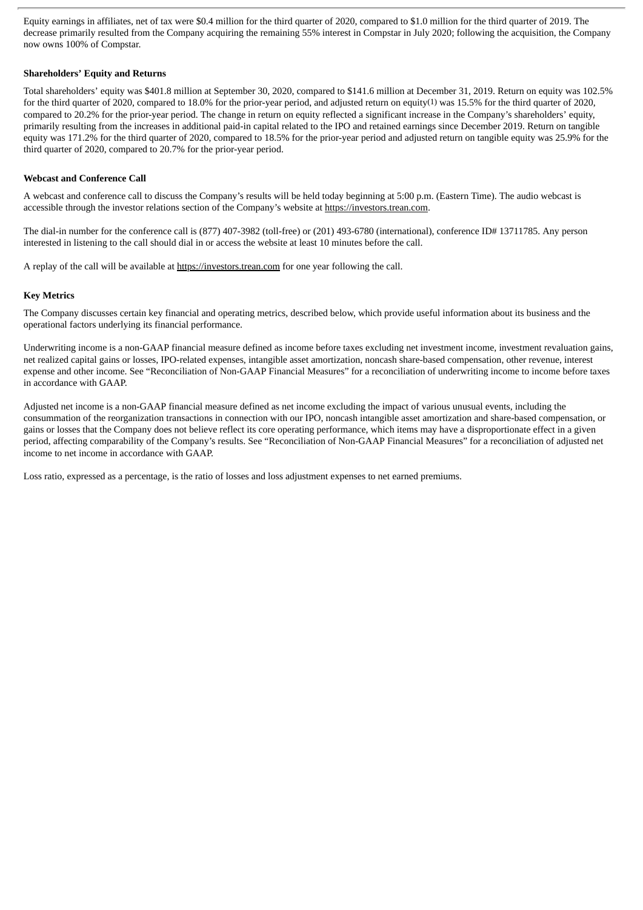Equity earnings in affiliates, net of tax were \$0.4 million for the third quarter of 2020, compared to \$1.0 million for the third quarter of 2019. The decrease primarily resulted from the Company acquiring the remaining 55% interest in Compstar in July 2020; following the acquisition, the Company now owns 100% of Compstar.

## **Shareholders' Equity and Returns**

Total shareholders' equity was \$401.8 million at September 30, 2020, compared to \$141.6 million at December 31, 2019. Return on equity was 102.5% for the third quarter of 2020, compared to 18.0% for the prior-year period, and adjusted return on equity( $1$ ) was 15.5% for the third quarter of 2020, compared to 20.2% for the prior-year period. The change in return on equity reflected a significant increase in the Company's shareholders' equity, primarily resulting from the increases in additional paid-in capital related to the IPO and retained earnings since December 2019. Return on tangible equity was 171.2% for the third quarter of 2020, compared to 18.5% for the prior-year period and adjusted return on tangible equity was 25.9% for the third quarter of 2020, compared to 20.7% for the prior-year period.

# **Webcast and Conference Call**

A webcast and conference call to discuss the Company's results will be held today beginning at 5:00 p.m. (Eastern Time). The audio webcast is accessible through the investor relations section of the Company's website at https://investors.trean.com.

The dial-in number for the conference call is (877) 407-3982 (toll-free) or (201) 493-6780 (international), conference ID# 13711785. Any person interested in listening to the call should dial in or access the website at least 10 minutes before the call.

A replay of the call will be available at https://investors.trean.com for one year following the call.

#### **Key Metrics**

The Company discusses certain key financial and operating metrics, described below, which provide useful information about its business and the operational factors underlying its financial performance.

Underwriting income is a non-GAAP financial measure defined as income before taxes excluding net investment income, investment revaluation gains, net realized capital gains or losses, IPO-related expenses, intangible asset amortization, noncash share-based compensation, other revenue, interest expense and other income. See "Reconciliation of Non-GAAP Financial Measures" for a reconciliation of underwriting income to income before taxes in accordance with GAAP.

Adjusted net income is a non-GAAP financial measure defined as net income excluding the impact of various unusual events, including the consummation of the reorganization transactions in connection with our IPO, noncash intangible asset amortization and share-based compensation, or gains or losses that the Company does not believe reflect its core operating performance, which items may have a disproportionate effect in a given period, affecting comparability of the Company's results. See "Reconciliation of Non-GAAP Financial Measures" for a reconciliation of adjusted net income to net income in accordance with GAAP.

Loss ratio, expressed as a percentage, is the ratio of losses and loss adjustment expenses to net earned premiums.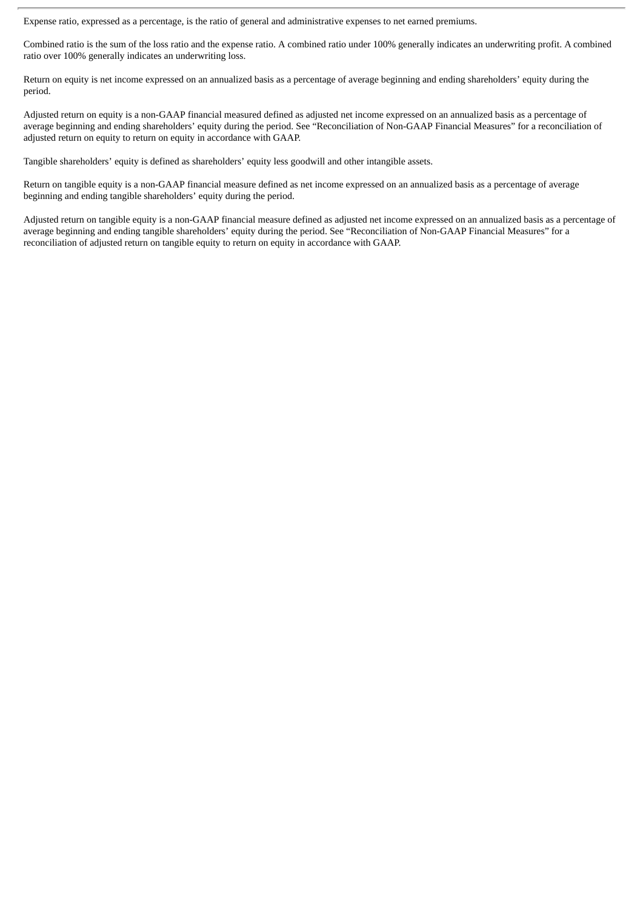Expense ratio, expressed as a percentage, is the ratio of general and administrative expenses to net earned premiums.

Combined ratio is the sum of the loss ratio and the expense ratio. A combined ratio under 100% generally indicates an underwriting profit. A combined ratio over 100% generally indicates an underwriting loss.

Return on equity is net income expressed on an annualized basis as a percentage of average beginning and ending shareholders' equity during the period.

Adjusted return on equity is a non-GAAP financial measured defined as adjusted net income expressed on an annualized basis as a percentage of average beginning and ending shareholders' equity during the period. See "Reconciliation of Non-GAAP Financial Measures" for a reconciliation of adjusted return on equity to return on equity in accordance with GAAP.

Tangible shareholders' equity is defined as shareholders' equity less goodwill and other intangible assets.

Return on tangible equity is a non-GAAP financial measure defined as net income expressed on an annualized basis as a percentage of average beginning and ending tangible shareholders' equity during the period.

Adjusted return on tangible equity is a non-GAAP financial measure defined as adjusted net income expressed on an annualized basis as a percentage of average beginning and ending tangible shareholders' equity during the period. See "Reconciliation of Non-GAAP Financial Measures" for a reconciliation of adjusted return on tangible equity to return on equity in accordance with GAAP.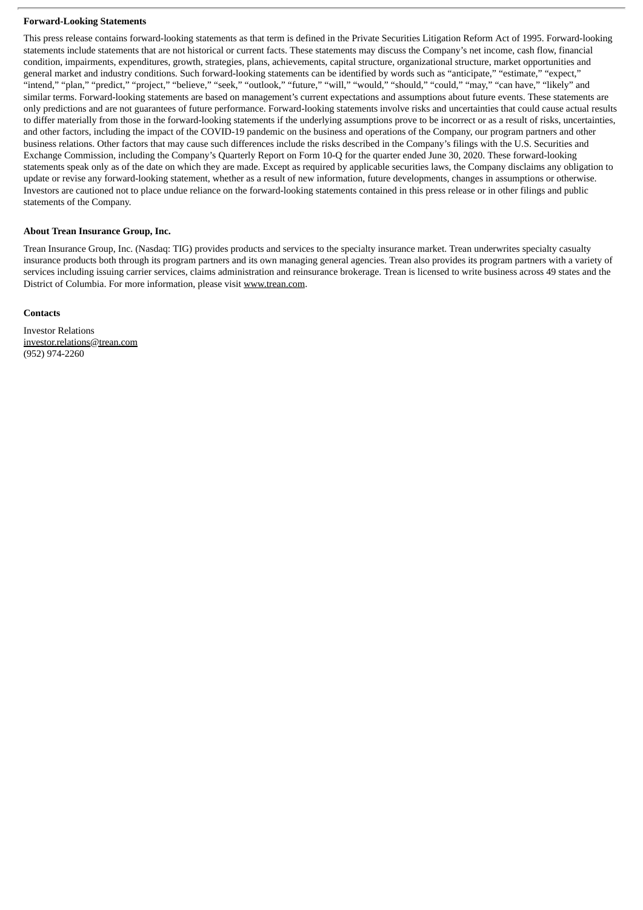#### **Forward-Looking Statements**

This press release contains forward-looking statements as that term is defined in the Private Securities Litigation Reform Act of 1995. Forward-looking statements include statements that are not historical or current facts. These statements may discuss the Company's net income, cash flow, financial condition, impairments, expenditures, growth, strategies, plans, achievements, capital structure, organizational structure, market opportunities and general market and industry conditions. Such forward-looking statements can be identified by words such as "anticipate," "estimate," "expect," "intend," "plan," "predict," "project," "believe," "seek," "outlook," "future," "will," "would," "should," "could," "may," "can have," "likely" and similar terms. Forward-looking statements are based on management's current expectations and assumptions about future events. These statements are only predictions and are not guarantees of future performance. Forward-looking statements involve risks and uncertainties that could cause actual results to differ materially from those in the forward-looking statements if the underlying assumptions prove to be incorrect or as a result of risks, uncertainties, and other factors, including the impact of the COVID-19 pandemic on the business and operations of the Company, our program partners and other business relations. Other factors that may cause such differences include the risks described in the Company's filings with the U.S. Securities and Exchange Commission, including the Company's Quarterly Report on Form 10-Q for the quarter ended June 30, 2020. These forward-looking statements speak only as of the date on which they are made. Except as required by applicable securities laws, the Company disclaims any obligation to update or revise any forward-looking statement, whether as a result of new information, future developments, changes in assumptions or otherwise. Investors are cautioned not to place undue reliance on the forward-looking statements contained in this press release or in other filings and public statements of the Company.

#### **About Trean Insurance Group, Inc.**

Trean Insurance Group, Inc. (Nasdaq: TIG) provides products and services to the specialty insurance market. Trean underwrites specialty casualty insurance products both through its program partners and its own managing general agencies. Trean also provides its program partners with a variety of services including issuing carrier services, claims administration and reinsurance brokerage. Trean is licensed to write business across 49 states and the District of Columbia. For more information, please visit www.trean.com.

#### **Contacts**

Investor Relations investor.relations@trean.com (952) 974-2260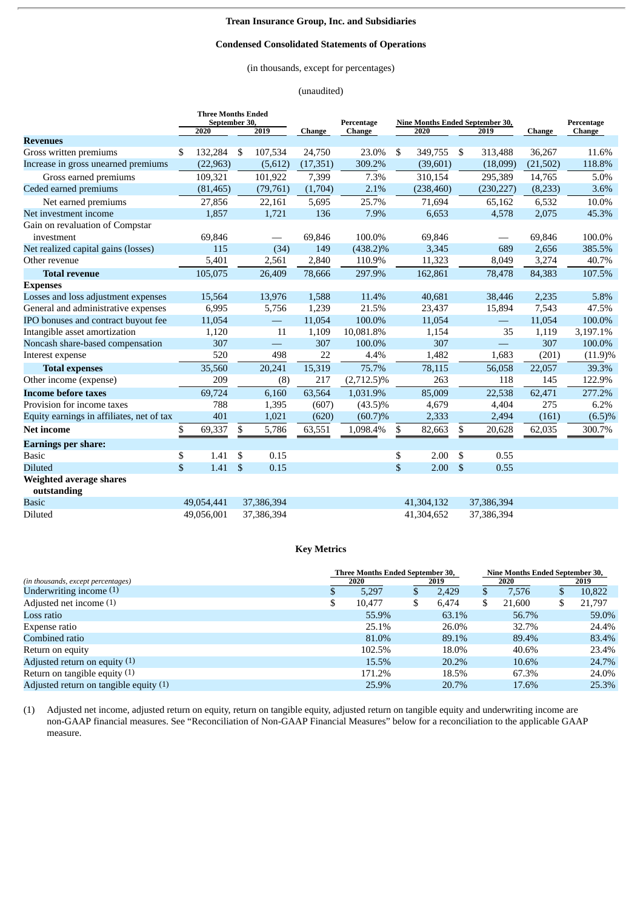# **Trean Insurance Group, Inc. and Subsidiaries**

# **Condensed Consolidated Statements of Operations**

# (in thousands, except for percentages)

#### (unaudited)

|                                               | <b>Three Months Ended</b><br>September 30, |            |              | Percentage<br>Nine Months Ended September 30, |           |               |    |            | Percentage     |                   |          |               |
|-----------------------------------------------|--------------------------------------------|------------|--------------|-----------------------------------------------|-----------|---------------|----|------------|----------------|-------------------|----------|---------------|
|                                               |                                            | 2020       |              | 2019                                          | Change    | Change        |    | 2020       |                | 2019              | Change   | <b>Change</b> |
| <b>Revenues</b>                               |                                            |            |              |                                               |           |               |    |            |                |                   |          |               |
| Gross written premiums                        | S                                          | 132,284    | \$           | 107,534                                       | 24,750    | 23.0%         | \$ | 349,755    | \$             | 313,488           | 36,267   | 11.6%         |
| Increase in gross unearned premiums           |                                            | (22, 963)  |              | (5,612)                                       | (17, 351) | 309.2%        |    | (39,601)   |                | (18,099)          | (21,502) | 118.8%        |
| Gross earned premiums                         |                                            | 109,321    |              | 101,922                                       | 7,399     | 7.3%          |    | 310,154    |                | 295,389           | 14,765   | 5.0%          |
| Ceded earned premiums                         |                                            | (81, 465)  |              | (79, 761)                                     | (1,704)   | 2.1%          |    | (238, 460) |                | (230, 227)        | (8,233)  | 3.6%          |
| Net earned premiums                           |                                            | 27,856     |              | 22,161                                        | 5,695     | 25.7%         |    | 71,694     |                | 65,162            | 6,532    | 10.0%         |
| Net investment income                         |                                            | 1,857      |              | 1,721                                         | 136       | 7.9%          |    | 6,653      |                | 4,578             | 2,075    | 45.3%         |
| Gain on revaluation of Compstar               |                                            |            |              |                                               |           |               |    |            |                |                   |          |               |
| investment                                    |                                            | 69,846     |              |                                               | 69,846    | 100.0%        |    | 69,846     |                |                   | 69,846   | 100.0%        |
| Net realized capital gains (losses)           |                                            | 115        |              | (34)                                          | 149       | $(438.2)\%$   |    | 3,345      |                | 689               | 2,656    | 385.5%        |
| Other revenue                                 |                                            | 5,401      |              | 2,561                                         | 2,840     | 110.9%        |    | 11,323     |                | 8,049             | 3,274    | 40.7%         |
| <b>Total revenue</b>                          |                                            | 105,075    |              | 26,409                                        | 78,666    | 297.9%        |    | 162,861    |                | 78,478            | 84,383   | 107.5%        |
| <b>Expenses</b>                               |                                            |            |              |                                               |           |               |    |            |                |                   |          |               |
| Losses and loss adjustment expenses           |                                            | 15,564     |              | 13,976                                        | 1,588     | 11.4%         |    | 40,681     |                | 38,446            | 2,235    | 5.8%          |
| General and administrative expenses           |                                            | 6,995      |              | 5,756                                         | 1,239     | 21.5%         |    | 23,437     |                | 15,894            | 7,543    | 47.5%         |
| IPO bonuses and contract buyout fee           |                                            | 11,054     |              |                                               | 11,054    | 100.0%        |    | 11,054     |                | $\qquad \qquad -$ | 11,054   | 100.0%        |
| Intangible asset amortization                 |                                            | 1,120      |              | 11                                            | 1,109     | 10,081.8%     |    | 1,154      |                | 35                | 1,119    | 3,197.1%      |
| Noncash share-based compensation              |                                            | 307        |              | $\overline{\phantom{0}}$                      | 307       | 100.0%        |    | 307        |                |                   | 307      | 100.0%        |
| Interest expense                              |                                            | 520        |              | 498                                           | 22        | 4.4%          |    | 1,482      |                | 1,683             | (201)    | (11.9)%       |
| <b>Total expenses</b>                         |                                            | 35,560     |              | 20,241                                        | 15,319    | 75.7%         |    | 78,115     |                | 56,058            | 22,057   | 39.3%         |
| Other income (expense)                        |                                            | 209        |              | (8)                                           | 217       | $(2,712.5)\%$ |    | 263        |                | 118               | 145      | 122.9%        |
| <b>Income before taxes</b>                    |                                            | 69,724     |              | 6,160                                         | 63,564    | 1,031.9%      |    | 85,009     |                | 22,538            | 62,471   | 277.2%        |
| Provision for income taxes                    |                                            | 788        |              | 1,395                                         | (607)     | $(43.5)\%$    |    | 4,679      |                | 4,404             | 275      | 6.2%          |
| Equity earnings in affiliates, net of tax     |                                            | 401        |              | 1,021                                         | (620)     | (60.7)%       |    | 2,333      |                | 2,494             | (161)    | (6.5)%        |
| <b>Net income</b>                             | \$                                         | 69,337     | \$           | 5,786                                         | 63,551    | 1,098.4%      | \$ | 82,663     | \$             | 20,628            | 62,035   | 300.7%        |
| <b>Earnings per share:</b>                    |                                            |            |              |                                               |           |               |    |            |                |                   |          |               |
| <b>Basic</b>                                  | \$                                         | 1.41       | \$           | 0.15                                          |           |               | \$ | 2.00       | \$             | 0.55              |          |               |
| <b>Diluted</b>                                | \$                                         | 1.41       | $\mathbb{S}$ | 0.15                                          |           |               | \$ | 2.00       | $\mathfrak{S}$ | 0.55              |          |               |
| <b>Weighted average shares</b><br>outstanding |                                            |            |              |                                               |           |               |    |            |                |                   |          |               |
| <b>Basic</b>                                  |                                            | 49,054,441 |              | 37,386,394                                    |           |               |    | 41,304,132 |                | 37,386,394        |          |               |
| <b>Diluted</b>                                |                                            | 49.056.001 |              | 37,386,394                                    |           |               |    | 41.304.652 |                | 37,386,394        |          |               |

# **Key Metrics**

|                                          |   | Three Months Ended September 30, |  |       | Nine Months Ended September 30, |        |    |        |
|------------------------------------------|---|----------------------------------|--|-------|---------------------------------|--------|----|--------|
| (in thousands, except percentages)       |   | 2020                             |  | 2019  |                                 | 2020   |    | 2019   |
| Underwriting income (1)                  |   | 5.297                            |  | 2.429 | \$.                             | 7.576  | D  | 10.822 |
| Adjusted net income (1)                  | S | 10.477                           |  | 6.474 | \$                              | 21,600 | \$ | 21,797 |
| Loss ratio                               |   | 55.9%                            |  | 63.1% |                                 | 56.7%  |    | 59.0%  |
| Expense ratio                            |   | 25.1%                            |  | 26.0% |                                 | 32.7%  |    | 24.4%  |
| Combined ratio                           |   | 81.0%                            |  | 89.1% |                                 | 89.4%  |    | 83.4%  |
| Return on equity                         |   | 102.5%                           |  | 18.0% |                                 | 40.6%  |    | 23.4%  |
| Adjusted return on equity $(1)$          |   | 15.5%                            |  | 20.2% |                                 | 10.6%  |    | 24.7%  |
| Return on tangible equity $(1)$          |   | 171.2%                           |  | 18.5% |                                 | 67.3%  |    | 24.0%  |
| Adjusted return on tangible equity $(1)$ |   | 25.9%                            |  | 20.7% |                                 | 17.6%  |    | 25.3%  |

(1) Adjusted net income, adjusted return on equity, return on tangible equity, adjusted return on tangible equity and underwriting income are non-GAAP financial measures. See "Reconciliation of Non-GAAP Financial Measures" below for a reconciliation to the applicable GAAP measure.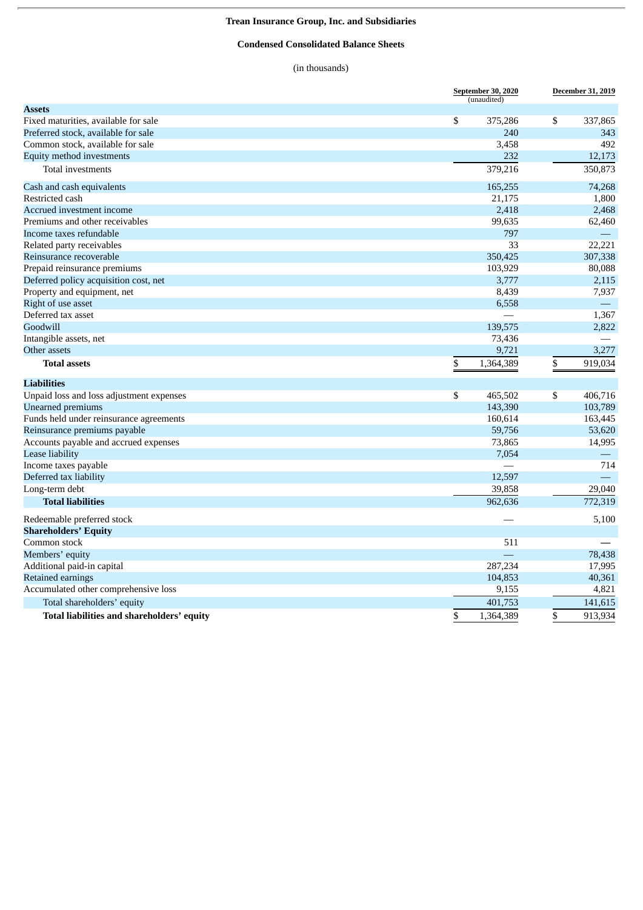# **Trean Insurance Group, Inc. and Subsidiaries**

# **Condensed Consolidated Balance Sheets**

(in thousands)

|                                            | September 30, 2020<br>(unaudited) | <b>December 31, 2019</b> |
|--------------------------------------------|-----------------------------------|--------------------------|
| <b>Assets</b>                              |                                   |                          |
| Fixed maturities, available for sale       | \$<br>375,286                     | \$<br>337,865            |
| Preferred stock, available for sale        | 240                               | 343                      |
| Common stock, available for sale           | 3,458                             | 492                      |
| Equity method investments                  | 232                               | 12,173                   |
| Total investments                          | 379,216                           | 350,873                  |
| Cash and cash equivalents                  | 165,255                           | 74,268                   |
| Restricted cash                            | 21,175                            | 1,800                    |
| Accrued investment income                  | 2,418                             | 2,468                    |
| Premiums and other receivables             | 99,635                            | 62,460                   |
| Income taxes refundable                    | 797                               |                          |
| Related party receivables                  | 33                                | 22,221                   |
| Reinsurance recoverable                    | 350,425                           | 307,338                  |
| Prepaid reinsurance premiums               | 103,929                           | 80,088                   |
| Deferred policy acquisition cost, net      | 3,777                             | 2,115                    |
| Property and equipment, net                | 8,439                             | 7,937                    |
| Right of use asset                         | 6,558                             | $\overline{\phantom{m}}$ |
| Deferred tax asset                         |                                   | 1,367                    |
| Goodwill                                   | 139,575                           | 2,822                    |
| Intangible assets, net                     | 73,436                            |                          |
| Other assets                               | 9,721                             | 3,277                    |
| <b>Total assets</b>                        | \$<br>1,364,389                   | \$<br>919,034            |
| <b>Liabilities</b>                         |                                   |                          |
| Unpaid loss and loss adjustment expenses   | \$<br>465,502                     | \$<br>406,716            |
| Unearned premiums                          | 143,390                           | 103,789                  |
| Funds held under reinsurance agreements    | 160,614                           | 163,445                  |
| Reinsurance premiums payable               | 59,756                            | 53,620                   |
| Accounts payable and accrued expenses      | 73,865                            | 14,995                   |
| Lease liability                            | 7,054                             |                          |
| Income taxes payable                       |                                   | 714                      |
| Deferred tax liability                     | 12,597                            |                          |
| Long-term debt                             | 39,858                            | 29,040                   |
| <b>Total liabilities</b>                   | 962,636                           | 772,319                  |
| Redeemable preferred stock                 |                                   | 5,100                    |
| <b>Shareholders' Equity</b>                |                                   |                          |
| Common stock                               | 511                               |                          |
| Members' equity                            |                                   | 78,438                   |
| Additional paid-in capital                 | 287,234                           | 17,995                   |
| <b>Retained earnings</b>                   | 104,853                           | 40,361                   |
| Accumulated other comprehensive loss       | 9,155                             | 4,821                    |
| Total shareholders' equity                 | 401,753                           | 141,615                  |
| Total liabilities and shareholders' equity | \$<br>1,364,389                   | \$<br>913,934            |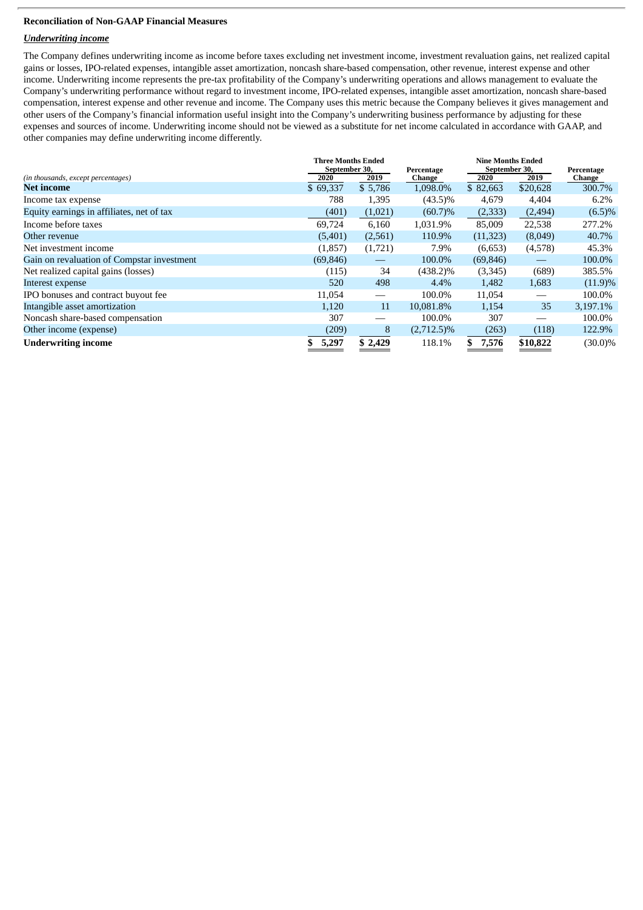#### **Reconciliation of Non-GAAP Financial Measures**

## *Underwriting income*

The Company defines underwriting income as income before taxes excluding net investment income, investment revaluation gains, net realized capital gains or losses, IPO-related expenses, intangible asset amortization, noncash share-based compensation, other revenue, interest expense and other income. Underwriting income represents the pre-tax profitability of the Company's underwriting operations and allows management to evaluate the Company's underwriting performance without regard to investment income, IPO-related expenses, intangible asset amortization, noncash share-based compensation, interest expense and other revenue and income. The Company uses this metric because the Company believes it gives management and other users of the Company's financial information useful insight into the Company's underwriting business performance by adjusting for these expenses and sources of income. Underwriting income should not be viewed as a substitute for net income calculated in accordance with GAAP, and other companies may define underwriting income differently.

|                                            | <b>Three Months Ended</b><br>September 30, |         | Percentage    | <b>Nine Months Ended</b><br>September 30, |                                 | Percentage    |
|--------------------------------------------|--------------------------------------------|---------|---------------|-------------------------------------------|---------------------------------|---------------|
| (in thousands, except percentages)         | 2020                                       | 2019    | <b>Change</b> | 2020                                      | 2019                            | <b>Change</b> |
| <b>Net income</b>                          | \$69,337                                   | \$5,786 | 1,098.0%      | \$82,663                                  | \$20,628                        | 300.7%        |
| Income tax expense                         | 788                                        | 1,395   | $(43.5)\%$    | 4,679                                     | 4,404                           | 6.2%          |
| Equity earnings in affiliates, net of tax  | (401)                                      | (1,021) | $(60.7)\%$    | (2, 333)                                  | (2, 494)                        | $(6.5)\%$     |
| Income before taxes                        | 69.724                                     | 6,160   | 1,031.9%      | 85,009                                    | 22,538                          | 277.2%        |
| Other revenue                              | (5,401)                                    | (2,561) | 110.9%        | (11, 323)                                 | (8,049)                         | 40.7%         |
| Net investment income                      | (1,857)                                    | (1,721) | 7.9%          | (6,653)                                   | (4,578)                         | 45.3%         |
| Gain on revaluation of Compstar investment | (69, 846)                                  |         | 100.0%        | (69, 846)                                 |                                 | 100.0%        |
| Net realized capital gains (losses)        | (115)                                      | 34      | $(438.2)\%$   | (3,345)                                   | (689)                           | 385.5%        |
| Interest expense                           | 520                                        | 498     | 4.4%          | 1,482                                     | 1,683                           | $(11.9)\%$    |
| IPO bonuses and contract buyout fee        | 11,054                                     |         | 100.0%        | 11,054                                    |                                 | 100.0%        |
| Intangible asset amortization              | 1,120                                      | 11      | 10,081.8%     | 1,154                                     | 35                              | 3,197.1%      |
| Noncash share-based compensation           | 307                                        |         | 100.0%        | 307                                       | $\hspace{0.1mm}-\hspace{0.1mm}$ | 100.0%        |
| Other income (expense)                     | (209)                                      | 8       | $(2,712.5)\%$ | (263)                                     | (118)                           | 122.9%        |
| <b>Underwriting income</b>                 | 5,297                                      | \$2,429 | 118.1%        | 7,576                                     | \$10,822                        | $(30.0)\%$    |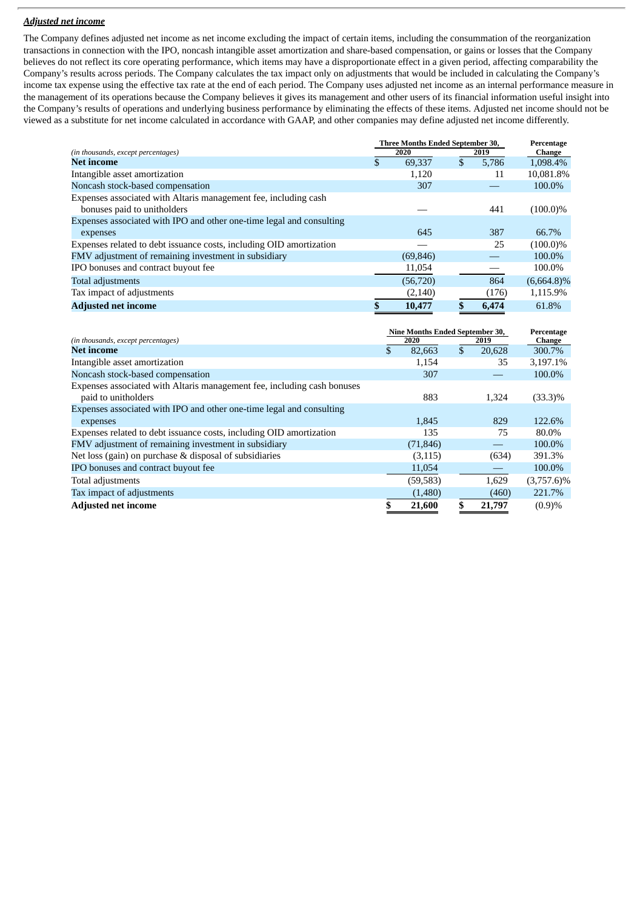## *Adjusted net income*

The Company defines adjusted net income as net income excluding the impact of certain items, including the consummation of the reorganization transactions in connection with the IPO, noncash intangible asset amortization and share-based compensation, or gains or losses that the Company believes do not reflect its core operating performance, which items may have a disproportionate effect in a given period, affecting comparability the Company's results across periods. The Company calculates the tax impact only on adjustments that would be included in calculating the Company's income tax expense using the effective tax rate at the end of each period. The Company uses adjusted net income as an internal performance measure in the management of its operations because the Company believes it gives its management and other users of its financial information useful insight into the Company's results of operations and underlying business performance by eliminating the effects of these items. Adjusted net income should not be viewed as a substitute for net income calculated in accordance with GAAP, and other companies may define adjusted net income differently.

|                                                                      | Three Months Ended September 30, |           |    |       | Percentage    |
|----------------------------------------------------------------------|----------------------------------|-----------|----|-------|---------------|
| (in thousands, except percentages)                                   |                                  | 2020      |    | 2019  | Change        |
| <b>Net income</b>                                                    | \$                               | 69.337    | \$ | 5.786 | 1,098.4%      |
| Intangible asset amortization                                        |                                  | 1,120     |    | 11    | 10,081.8%     |
| Noncash stock-based compensation                                     |                                  | 307       |    |       | 100.0%        |
| Expenses associated with Altaris management fee, including cash      |                                  |           |    |       |               |
| bonuses paid to unitholders                                          |                                  |           |    | 441   | $(100.0)\%$   |
| Expenses associated with IPO and other one-time legal and consulting |                                  |           |    |       |               |
| expenses                                                             |                                  | 645       |    | 387   | 66.7%         |
| Expenses related to debt issuance costs, including OID amortization  |                                  |           |    | 25    | $(100.0)\%$   |
| FMV adjustment of remaining investment in subsidiary                 |                                  | (69, 846) |    |       | 100.0%        |
| IPO bonuses and contract buyout fee                                  |                                  | 11,054    |    |       | 100.0%        |
| Total adjustments                                                    |                                  | (56, 720) |    | 864   | $(6,664.8)\%$ |
| Tax impact of adjustments                                            |                                  | (2, 140)  |    | (176) | 1,115.9%      |
| <b>Adjusted net income</b>                                           | S                                | 10,477    | \$ | 6.474 | 61.8%         |

|                                                                         | <b>Nine Months Ended September 30,</b> |           |              | Percentage |               |
|-------------------------------------------------------------------------|----------------------------------------|-----------|--------------|------------|---------------|
| (in thousands, except percentages)                                      |                                        | 2020      |              | 2019       | Change        |
| <b>Net income</b>                                                       | \$                                     | 82,663    | $\mathbb{S}$ | 20,628     | 300.7%        |
| Intangible asset amortization                                           |                                        | 1,154     |              | 35         | 3,197.1%      |
| Noncash stock-based compensation                                        |                                        | 307       |              |            | 100.0%        |
| Expenses associated with Altaris management fee, including cash bonuses |                                        |           |              |            |               |
| paid to unitholders                                                     |                                        | 883       |              | 1,324      | $(33.3)\%$    |
| Expenses associated with IPO and other one-time legal and consulting    |                                        |           |              |            |               |
| expenses                                                                |                                        | 1,845     |              | 829        | 122.6%        |
| Expenses related to debt issuance costs, including OID amortization     |                                        | 135       |              | 75         | 80.0%         |
| FMV adjustment of remaining investment in subsidiary                    |                                        | (71, 846) |              |            | 100.0%        |
| Net loss (gain) on purchase & disposal of subsidiaries                  |                                        | (3, 115)  |              | (634)      | 391.3%        |
| IPO bonuses and contract buyout fee                                     |                                        | 11,054    |              |            | 100.0%        |
| Total adjustments                                                       |                                        | (59, 583) |              | 1,629      | $(3,757.6)\%$ |
| Tax impact of adjustments                                               |                                        | (1,480)   |              | (460)      | 221.7%        |
| <b>Adjusted net income</b>                                              |                                        | 21,600    | \$           | 21,797     | (0.9)%        |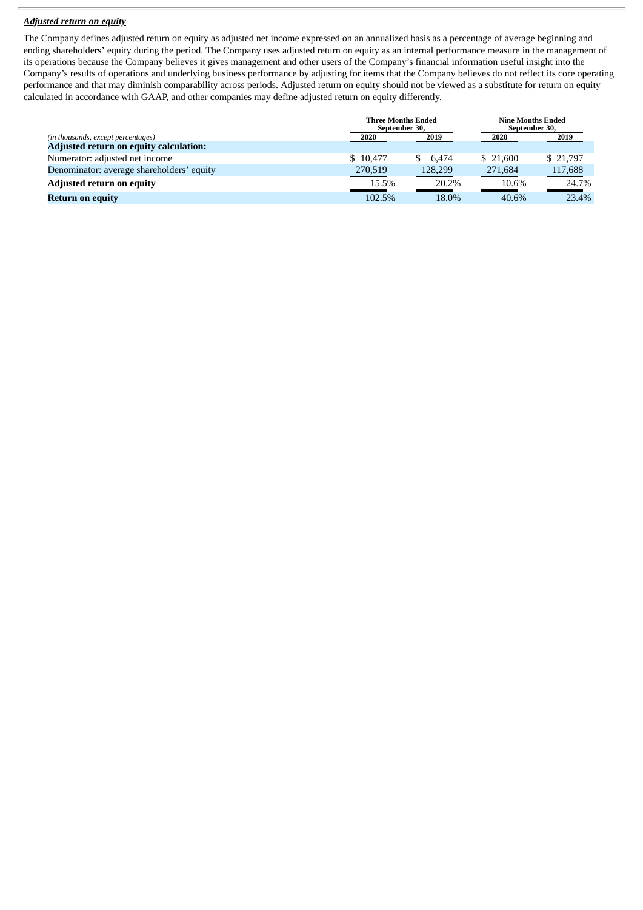# *Adjusted return on equity*

The Company defines adjusted return on equity as adjusted net income expressed on an annualized basis as a percentage of average beginning and ending shareholders' equity during the period. The Company uses adjusted return on equity as an internal performance measure in the management of its operations because the Company believes it gives management and other users of the Company's financial information useful insight into the Company's results of operations and underlying business performance by adjusting for items that the Company believes do not reflect its core operating performance and that may diminish comparability across periods. Adjusted return on equity should not be viewed as a substitute for return on equity calculated in accordance with GAAP, and other companies may define adjusted return on equity differently.

|                                           | <b>Three Months Ended</b><br>September 30, |         | <b>Nine Months Ended</b><br>September 30. |          |
|-------------------------------------------|--------------------------------------------|---------|-------------------------------------------|----------|
| (in thousands, except percentages)        | 2020                                       | 2019    | 2020                                      | 2019     |
| Adjusted return on equity calculation:    |                                            |         |                                           |          |
| Numerator: adjusted net income            | \$10.477                                   | 6.474   | \$21,600                                  | \$21,797 |
| Denominator: average shareholders' equity | 270.519                                    | 128,299 | 271.684                                   | 117,688  |
| <b>Adjusted return on equity</b>          | 15.5%                                      | 20.2%   | 10.6%                                     | 24.7%    |
| <b>Return on equity</b>                   | 102.5%                                     | 18.0%   | 40.6%                                     | 23.4%    |